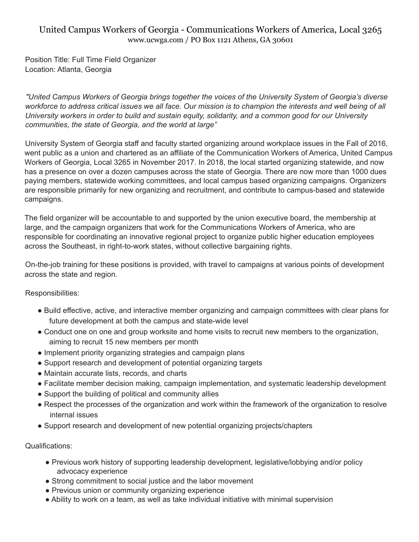## United Campus Workers of Georgia - Communications Workers of America, Local 3265 www.ucwga.com / PO Box 1121 Athens, GA 30601

Position Title: Full Time Field Organizer Location: Atlanta, Georgia

*"United Campus Workers of Georgia brings together the voices of the University System of Georgia's diverse* workforce to address critical issues we all face. Our mission is to champion the interests and well being of all *University workers in order to build and sustain equity, solidarity, and a common good for our University communities, the state of Georgia, and the world at large"*

University System of Georgia staff and faculty started organizing around workplace issues in the Fall of 2016, went public as a union and chartered as an affiliate of the Communication Workers of America, United Campus Workers of Georgia, Local 3265 in November 2017. In 2018, the local started organizing statewide, and now has a presence on over a dozen campuses across the state of Georgia. There are now more than 1000 dues paying members, statewide working committees, and local campus based organizing campaigns. Organizers are responsible primarily for new organizing and recruitment, and contribute to campus-based and statewide campaigns.

The field organizer will be accountable to and supported by the union executive board, the membership at large, and the campaign organizers that work for the Communications Workers of America, who are responsible for coordinating an innovative regional project to organize public higher education employees across the Southeast, in right-to-work states, without collective bargaining rights.

On-the-job training for these positions is provided, with travel to campaigns at various points of development across the state and region.

Responsibilities:

- Build effective, active, and interactive member organizing and campaign committees with clear plans for future development at both the campus and state-wide level
- Conduct one on one and group worksite and home visits to recruit new members to the organization, aiming to recruit 15 new members per month
- Implement priority organizing strategies and campaign plans
- Support research and development of potential organizing targets
- Maintain accurate lists, records, and charts
- Facilitate member decision making, campaign implementation, and systematic leadership development
- Support the building of political and community allies
- Respect the processes of the organization and work within the framework of the organization to resolve internal issues
- Support research and development of new potential organizing projects/chapters

Qualifications:

- Previous work history of supporting leadership development, legislative/lobbying and/or policy advocacy experience
- Strong commitment to social justice and the labor movement
- Previous union or community organizing experience
- Ability to work on a team, as well as take individual initiative with minimal supervision